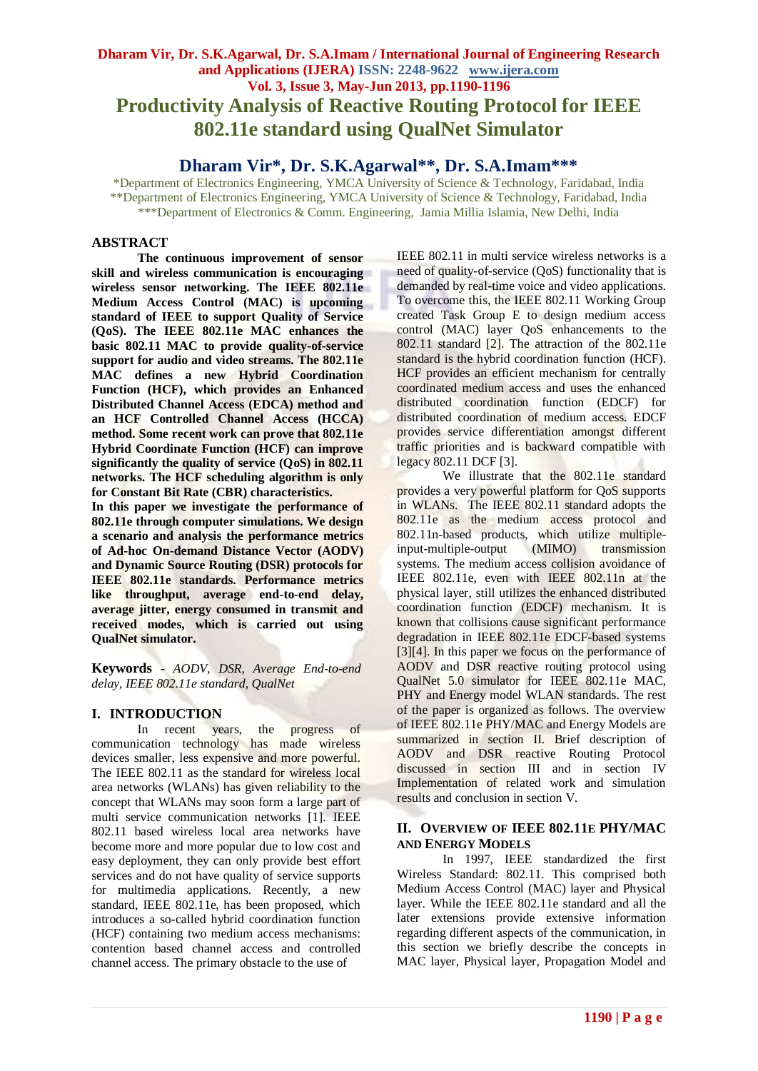# **Dharam Vir, Dr. S.K.Agarwal, Dr. S.A.Imam / International Journal of Engineering Research and Applications (IJERA) ISSN: 2248-9622 www.ijera.com Vol. 3, Issue 3, May-Jun 2013, pp.1190-1196 Productivity Analysis of Reactive Routing Protocol for IEEE 802.11e standard using QualNet Simulator**

# **Dharam Vir\*, Dr. S.K.Agarwal\*\*, Dr. S.A.Imam\*\*\***

\*Department of Electronics Engineering, YMCA University of Science & Technology, Faridabad, India \*\*Department of Electronics Engineering, YMCA University of Science & Technology, Faridabad, India \*\*\*Department of Electronics & Comm. Engineering, Jamia Millia Islamia, New Delhi, India

## **ABSTRACT**

**The continuous improvement of sensor skill and wireless communication is encouraging wireless sensor networking. The IEEE 802.11e Medium Access Control (MAC) is upcoming standard of IEEE to support Quality of Service (QoS). The IEEE 802.11e MAC enhances the basic 802.11 MAC to provide quality-of-service support for audio and video streams. The 802.11e MAC defines a new Hybrid Coordination Function (HCF), which provides an Enhanced Distributed Channel Access (EDCA) method and an HCF Controlled Channel Access (HCCA) method. Some recent work can prove that 802.11e Hybrid Coordinate Function (HCF) can improve significantly the quality of service (QoS) in 802.11 networks. The HCF scheduling algorithm is only for Constant Bit Rate (CBR) characteristics.**

**In this paper we investigate the performance of 802.11e through computer simulations. We design a scenario and analysis the performance metrics of Ad-hoc On-demand Distance Vector (AODV) and Dynamic Source Routing (DSR) protocols for IEEE 802.11e standards. Performance metrics like throughput, average end-to-end delay, average jitter, energy consumed in transmit and received modes, which is carried out using QualNet simulator.** 

**Keywords -** *AODV, DSR, Average End-to-end delay, IEEE 802.11e standard, QualNet* 

## **I. INTRODUCTION**

In recent years, the progress of communication technology has made wireless devices smaller, less expensive and more powerful. The IEEE 802.11 as the standard for wireless local area networks (WLANs) has given reliability to the concept that WLANs may soon form a large part of multi service communication networks [1]. IEEE 802.11 based wireless local area networks have become more and more popular due to low cost and easy deployment, they can only provide best effort services and do not have quality of service supports for multimedia applications. Recently, a new standard, IEEE 802.11e, has been proposed, which introduces a so-called hybrid coordination function (HCF) containing two medium access mechanisms: contention based channel access and controlled channel access. The primary obstacle to the use of

IEEE 802.11 in multi service wireless networks is a need of quality-of-service (QoS) functionality that is demanded by real-time voice and video applications. To overcome this, the IEEE 802.11 Working Group created Task Group E to design medium access control (MAC) layer QoS enhancements to the 802.11 standard [2]. The attraction of the 802.11e standard is the hybrid coordination function (HCF). HCF provides an efficient mechanism for centrally coordinated medium access and uses the enhanced distributed coordination function (EDCF) for distributed coordination of medium access. EDCF provides service differentiation amongst different traffic priorities and is backward compatible with legacy 802.11 DCF [3].

We illustrate that the 802.11e standard provides a very powerful platform for QoS supports in WLANs. The IEEE 802.11 standard adopts the 802.11e as the medium access protocol and 802.11n-based products, which utilize multiple-<br>input-multiple-output (MIMO) transmission input-multiple-output (MIMO) transmission systems. The medium access collision avoidance of IEEE 802.11e, even with IEEE 802.11n at the physical layer, still utilizes the enhanced distributed coordination function (EDCF) mechanism. It is known that collisions cause significant performance degradation in IEEE 802.11e EDCF-based systems [3][4]. In this paper we focus on the performance of AODV and DSR reactive routing protocol using QualNet 5.0 simulator for IEEE 802.11e MAC, PHY and Energy model WLAN standards. The rest of the paper is organized as follows. The overview of IEEE 802.11e PHY/MAC and Energy Models are summarized in section II. Brief description of AODV and DSR reactive Routing Protocol discussed in section III and in section IV Implementation of related work and simulation results and conclusion in section V.

## **II. OVERVIEW OF IEEE 802.11E PHY/MAC AND ENERGY MODELS**

In 1997, IEEE standardized the first Wireless Standard: 802.11. This comprised both Medium Access Control (MAC) layer and Physical layer. While the IEEE 802.11e standard and all the later extensions provide extensive information regarding different aspects of the communication, in this section we briefly describe the concepts in MAC layer, Physical layer, Propagation Model and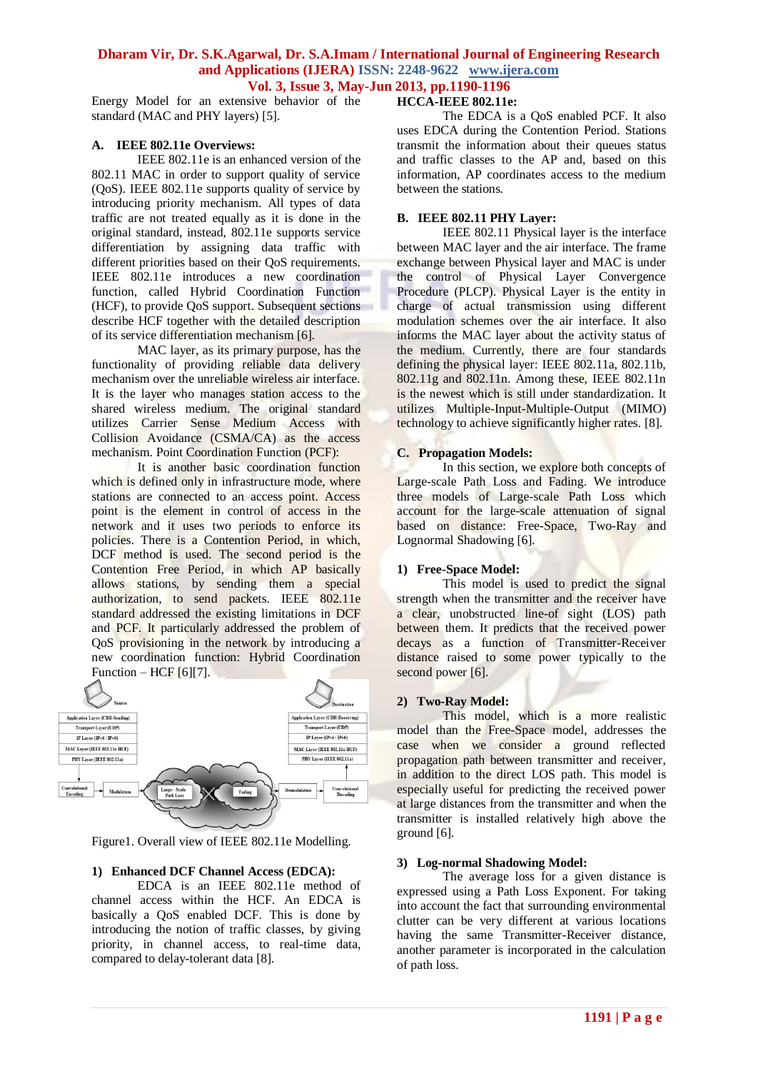Energy Model for an extensive behavior of the standard (MAC and PHY layers) [5].

## **A. IEEE 802.11e Overviews:**

IEEE 802.11e is an enhanced version of the 802.11 MAC in order to support quality of service (QoS). IEEE 802.11e supports quality of service by introducing priority mechanism. All types of data traffic are not treated equally as it is done in the original standard, instead, 802.11e supports service differentiation by assigning data traffic with different priorities based on their QoS requirements. IEEE 802.11e introduces a new coordination function, called Hybrid Coordination Function (HCF), to provide QoS support. Subsequent sections describe HCF together with the detailed description of its service differentiation mechanism [6].

MAC layer, as its primary purpose, has the functionality of providing reliable data delivery mechanism over the unreliable wireless air interface. It is the layer who manages station access to the shared wireless medium. The original standard utilizes Carrier Sense Medium Access with Collision Avoidance (CSMA/CA) as the access mechanism. Point Coordination Function (PCF):

It is another basic coordination function which is defined only in infrastructure mode, where stations are connected to an access point. Access point is the element in control of access in the network and it uses two periods to enforce its policies. There is a Contention Period, in which, DCF method is used. The second period is the Contention Free Period, in which AP basically allows stations, by sending them a special authorization, to send packets. IEEE 802.11e standard addressed the existing limitations in DCF and PCF. It particularly addressed the problem of QoS provisioning in the network by introducing a new coordination function: Hybrid Coordination Function – HCF [6][7].



Figure1. Overall view of IEEE 802.11e Modelling.

## **1) Enhanced DCF Channel Access (EDCA):**

EDCA is an IEEE 802.11e method of channel access within the HCF. An EDCA is basically a QoS enabled DCF. This is done by introducing the notion of traffic classes, by giving priority, in channel access, to real-time data, compared to delay-tolerant data [8].

## **HCCA-IEEE 802.11e:**

The EDCA is a QoS enabled PCF. It also uses EDCA during the Contention Period. Stations transmit the information about their queues status and traffic classes to the AP and, based on this information, AP coordinates access to the medium between the stations.

## **B. IEEE 802.11 PHY Layer:**

IEEE 802.11 Physical layer is the interface between MAC layer and the air interface. The frame exchange between Physical layer and MAC is under the control of Physical Layer Convergence Procedure (PLCP). Physical Layer is the entity in charge of actual transmission using different modulation schemes over the air interface. It also informs the MAC layer about the activity status of the medium. Currently, there are four standards defining the physical layer: IEEE 802.11a, 802.11b, 802.11g and 802.11n. Among these, IEEE 802.11n is the newest which is still under standardization. It utilizes Multiple-Input-Multiple-Output (MIMO) technology to achieve significantly higher rates. [8].

## **C. Propagation Models:**

In this section, we explore both concepts of Large-scale Path Loss and Fading. We introduce three models of Large-scale Path Loss which account for the large-scale attenuation of signal based on distance: Free-Space, Two-Ray and Lognormal Shadowing [6].

## **1) Free-Space Model:**

This model is used to predict the signal strength when the transmitter and the receiver have a clear, unobstructed line-of sight (LOS) path between them. It predicts that the received power decays as a function of Transmitter-Receiver distance raised to some power typically to the second power [6].

## **2) Two-Ray Model:**

This model, which is a more realistic model than the Free-Space model, addresses the case when we consider a ground reflected propagation path between transmitter and receiver, in addition to the direct LOS path. This model is especially useful for predicting the received power at large distances from the transmitter and when the transmitter is installed relatively high above the ground [6].

## **3) Log-normal Shadowing Model:**

The average loss for a given distance is expressed using a Path Loss Exponent. For taking into account the fact that surrounding environmental clutter can be very different at various locations having the same Transmitter-Receiver distance, another parameter is incorporated in the calculation of path loss.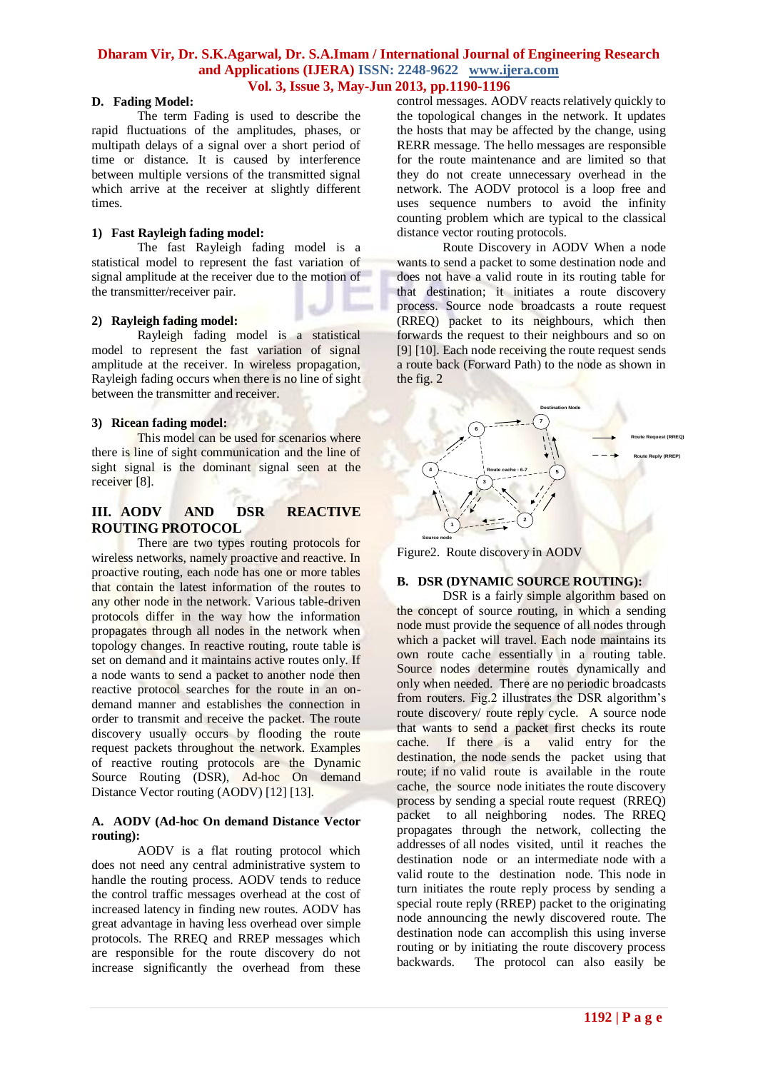## **D. Fading Model:**

The term Fading is used to describe the rapid fluctuations of the amplitudes, phases, or multipath delays of a signal over a short period of time or distance. It is caused by interference between multiple versions of the transmitted signal which arrive at the receiver at slightly different times.

## **1) Fast Rayleigh fading model:**

The fast Rayleigh fading model is a statistical model to represent the fast variation of signal amplitude at the receiver due to the motion of the transmitter/receiver pair.

### **2) Rayleigh fading model:**

Rayleigh fading model is a statistical model to represent the fast variation of signal amplitude at the receiver. In wireless propagation, Rayleigh fading occurs when there is no line of sight between the transmitter and receiver.

#### **3) Ricean fading model:**

This model can be used for scenarios where there is line of sight communication and the line of sight signal is the dominant signal seen at the receiver [8].

## **III. AODV AND DSR REACTIVE ROUTING PROTOCOL**

There are two types routing protocols for wireless networks, namely proactive and reactive. In proactive routing, each node has one or more tables that contain the latest information of the routes to any other node in the network. Various table-driven protocols differ in the way how the information propagates through all nodes in the network when topology changes. In reactive routing, route table is set on demand and it maintains active routes only. If a node wants to send a packet to another node then reactive protocol searches for the route in an ondemand manner and establishes the connection in order to transmit and receive the packet. The route discovery usually occurs by flooding the route request packets throughout the network. Examples of reactive routing protocols are the Dynamic Source Routing (DSR), Ad-hoc On demand Distance Vector routing (AODV) [12] [13].

#### **A. AODV (Ad-hoc On demand Distance Vector routing):**

AODV is a flat routing protocol which does not need any central administrative system to handle the routing process. AODV tends to reduce the control traffic messages overhead at the cost of increased latency in finding new routes. AODV has great advantage in having less overhead over simple protocols. The RREQ and RREP messages which are responsible for the route discovery do not increase significantly the overhead from these control messages. AODV reacts relatively quickly to the topological changes in the network. It updates the hosts that may be affected by the change, using RERR message. The hello messages are responsible for the route maintenance and are limited so that they do not create unnecessary overhead in the network. The AODV protocol is a loop free and uses sequence numbers to avoid the infinity counting problem which are typical to the classical distance vector routing protocols.

Route Discovery in AODV When a node wants to send a packet to some destination node and does not have a valid route in its routing table for that destination; it initiates a route discovery process. Source node broadcasts a route request (RREQ) packet to its neighbours, which then forwards the request to their neighbours and so on [9] [10]. Each node receiving the route request sends a route back (Forward Path) to the node as shown in the fig. 2



Figure2. Route discovery in AODV

## **B. DSR (DYNAMIC SOURCE ROUTING):**

DSR is a fairly simple algorithm based on the concept of source routing, in which a sending node must provide the sequence of all nodes through which a packet will travel. Each node maintains its own route cache essentially in a routing table. Source nodes determine routes dynamically and only when needed. There are no periodic broadcasts from routers. Fig.2 illustrates the DSR algorithm's route discovery/ route reply cycle. A source node that wants to send a packet first checks its route cache. If there is a valid entry for the destination, the node sends the packet using that route; if no valid route is available in the route cache, the source node initiates the route discovery process by sending a special route request (RREQ) packet to all neighboring nodes. The RREQ propagates through the network, collecting the addresses of all nodes visited, until it reaches the destination node or an intermediate node with a valid route to the destination node. This node in turn initiates the route reply process by sending a special route reply (RREP) packet to the originating node announcing the newly discovered route. The destination node can accomplish this using inverse routing or by initiating the route discovery process backwards. The protocol can also easily be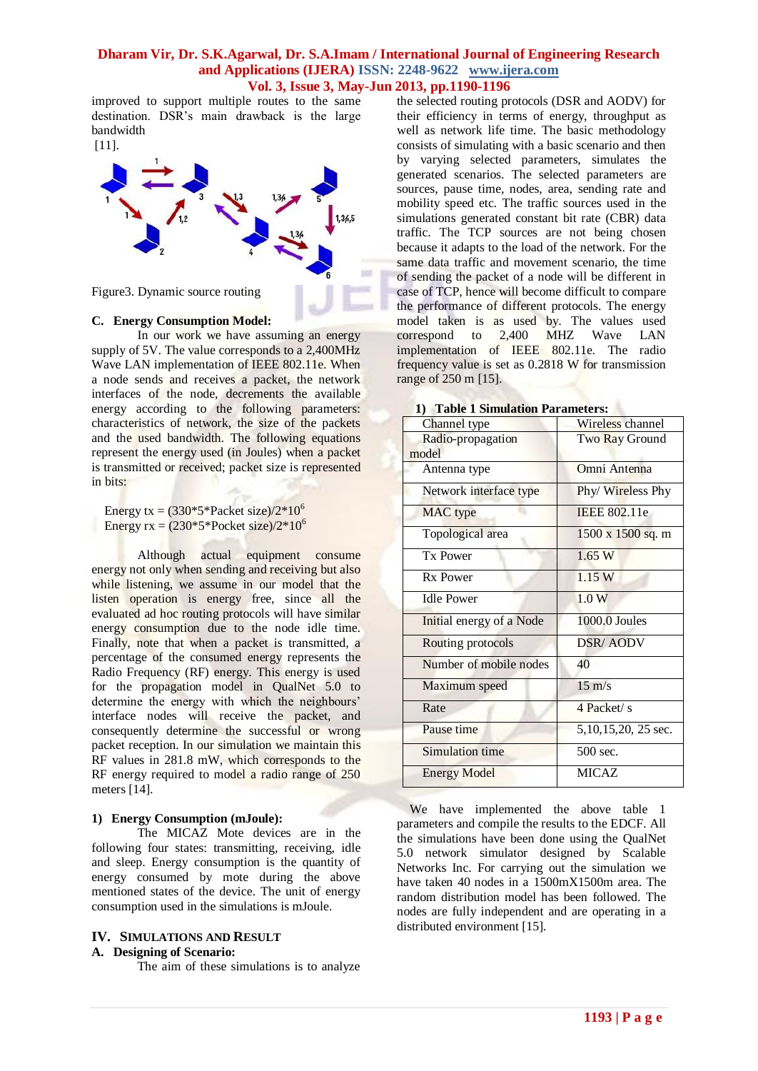improved to support multiple routes to the same destination. DSR's main drawback is the large bandwidth



## **C. Energy Consumption Model:**

In our work we have assuming an energy supply of 5V. The value corresponds to a 2,400MHz Wave LAN implementation of IEEE 802.11e. When a node sends and receives a packet, the network interfaces of the node, decrements the available energy according to the following parameters: characteristics of network, the size of the packets and the used bandwidth. The following equations represent the energy used (in Joules) when a packet is transmitted or received; packet size is represented in bits:

Energy tx =  $(330*5*Packet size)/2*10^6$ Energy  $rx = (230*5*Pocket size)/2*10^6$ 

Although actual equipment consume energy not only when sending and receiving but also while listening, we assume in our model that the listen operation is energy free, since all the evaluated ad hoc routing protocols will have similar energy consumption due to the node idle time. Finally, note that when a packet is transmitted, a percentage of the consumed energy represents the Radio Frequency (RF) energy. This energy is used for the propagation model in QualNet 5.0 to determine the energy with which the neighbours' interface nodes will receive the packet, and consequently determine the successful or wrong packet reception. In our simulation we maintain this RF values in 281.8 mW, which corresponds to the RF energy required to model a radio range of 250 meters [14].

## **1) Energy Consumption (mJoule):**

The MICAZ Mote devices are in the following four states: transmitting, receiving, idle and sleep. Energy consumption is the quantity of energy consumed by mote during the above mentioned states of the device. The unit of energy consumption used in the simulations is mJoule.

## **IV. SIMULATIONS AND RESULT**

### **A. Designing of Scenario:**

The aim of these simulations is to analyze

the selected routing protocols (DSR and AODV) for their efficiency in terms of energy, throughput as well as network life time. The basic methodology consists of simulating with a basic scenario and then by varying selected parameters, simulates the generated scenarios. The selected parameters are sources, pause time, nodes, area, sending rate and mobility speed etc. The traffic sources used in the simulations generated constant bit rate (CBR) data traffic. The TCP sources are not being chosen because it adapts to the load of the network. For the same data traffic and movement scenario, the time of sending the packet of a node will be different in case of TCP, hence will become difficult to compare the performance of different protocols. The energy model taken is as used by. The values used correspond to 2,400 MHZ Wave LAN implementation of IEEE 802.11e. The radio frequency value is set as 0.2818 W for transmission range of 250 m [15].

| Channel type               | Wireless channel         |
|----------------------------|--------------------------|
| Radio-propagation<br>model | Two Ray Ground           |
| Antenna type               | Omni Antenna             |
| Network interface type     | Phy/Wireless Phy         |
| MAC type                   | <b>IEEE 802.11e</b>      |
| Topological area           | $1500 \times 1500$ sq. m |
| <b>Tx Power</b>            | 1.65 W                   |
| Rx Power                   | 1.15 W                   |
| <b>Idle Power</b>          | 1.0W                     |
| Initial energy of a Node   | 1000.0 Joules            |
| Routing protocols          | <b>DSR/AODV</b>          |
| Number of mobile nodes     | 40                       |
| Maximum speed              | $15 \text{ m/s}$         |
| Rate                       | 4 Packet/s               |
| Pause time                 | 5,10,15,20, 25 sec.      |
| Simulation time            | 500 sec.                 |
| <b>Energy Model</b>        | <b>MICAZ</b>             |

**1) Table 1 Simulation Parameters:**

We have implemented the above table 1 parameters and compile the results to the EDCF. All the simulations have been done using the QualNet 5.0 network simulator designed by Scalable Networks Inc. For carrying out the simulation we have taken 40 nodes in a 1500mX1500m area. The random distribution model has been followed. The nodes are fully independent and are operating in a distributed environment [15].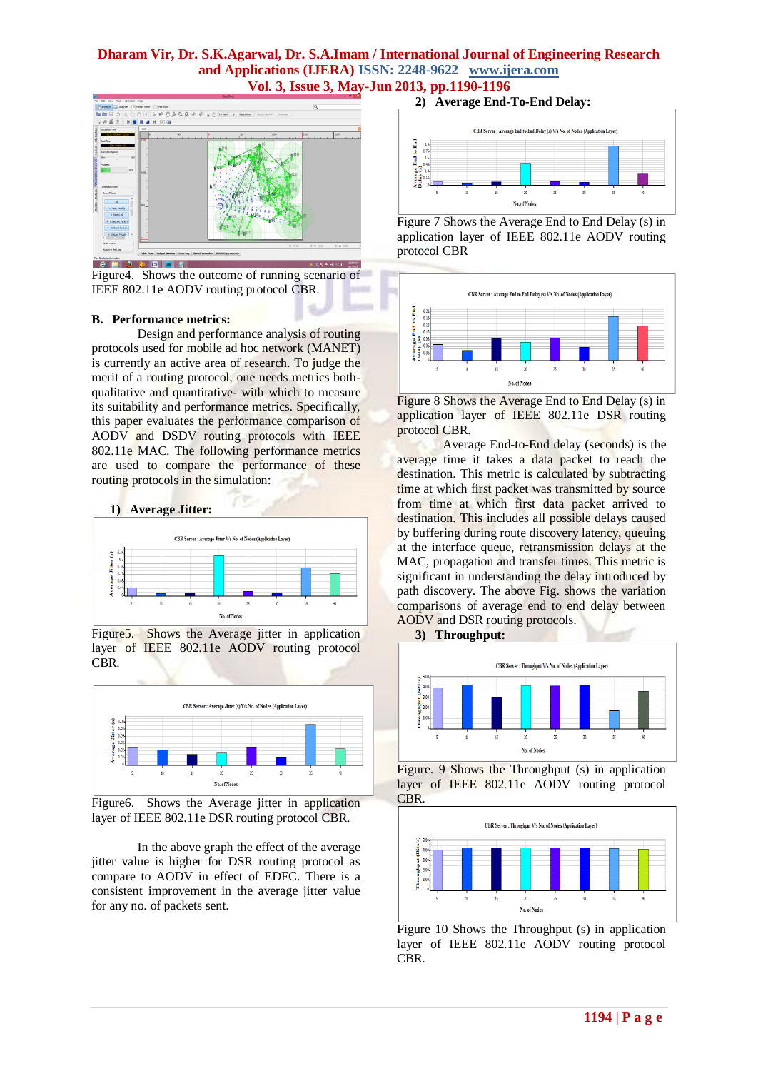

Figure4. Shows the outcome of running scenario of IEEE 802.11e AODV routing protocol CBR.

#### **B. Performance metrics:**

Design and performance analysis of routing protocols used for mobile ad hoc network (MANET) is currently an active area of research. To judge the merit of a routing protocol, one needs metrics bothqualitative and quantitative- with which to measure its suitability and performance metrics. Specifically, this paper evaluates the performance comparison of AODV and DSDV routing protocols with IEEE 802.11e MAC. The following performance metrics are used to compare the performance of these routing protocols in the simulation:



Figure<sup>5</sup>. Shows the Average jitter in application layer of IEEE 802.11e AODV routing protocol CBR.



Figure6. Shows the Average jitter in application layer of IEEE 802.11e DSR routing protocol CBR.

In the above graph the effect of the average jitter value is higher for DSR routing protocol as compare to AODV in effect of EDFC. There is a consistent improvement in the average jitter value for any no. of packets sent.

#### **2) Average End-To-End Delay:**



Figure 7 Shows the Average End to End Delay (s) in application layer of IEEE 802.11e AODV routing protocol CBR



Figure 8 Shows the Average End to End Delay (s) in application layer of IEEE 802.11e DSR routing protocol CBR.

Average End-to-End delay (seconds) is the average time it takes a data packet to reach the destination. This metric is calculated by subtracting time at which first packet was transmitted by source from time at which first data packet arrived to destination. This includes all possible delays caused by buffering during route discovery latency, queuing at the interface queue, retransmission delays at the MAC, propagation and transfer times. This metric is significant in understanding the delay introduced by path discovery. The above Fig. shows the variation comparisons of average end to end delay between AODV and DSR routing protocols.





Figure. 9 Shows the Throughput (s) in application layer of IEEE 802.11e AODV routing protocol CBR.



Figure 10 Shows the Throughput (s) in application layer of IEEE 802.11e AODV routing protocol CBR.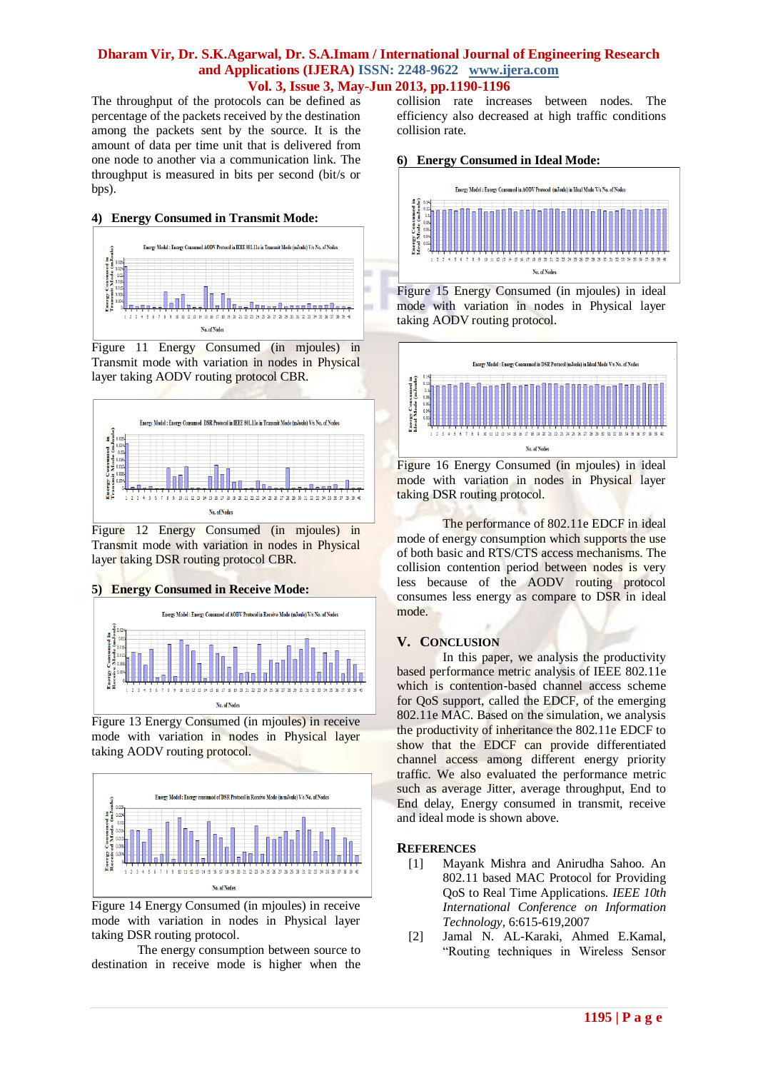ú.

The throughput of the protocols can be defined as percentage of the packets received by the destination among the packets sent by the source. It is the amount of data per time unit that is delivered from one node to another via a communication link. The throughput is measured in bits per second (bit/s or bps).

## **4) Energy Consumed in Transmit Mode:**



Figure 11 Energy Consumed (in mjoules) in Transmit mode with variation in nodes in Physical layer taking AODV routing protocol CBR.



Figure 12 Energy Consumed (in mjoules) in Transmit mode with variation in nodes in Physical layer taking DSR routing protocol CBR.

## **5) Energy Consumed in Receive Mode:**



Figure 13 Energy Consumed (in mjoules) in receive mode with variation in nodes in Physical layer taking AODV routing protocol.



Figure 14 Energy Consumed (in mjoules) in receive mode with variation in nodes in Physical layer taking DSR routing protocol.

The energy consumption between source to destination in receive mode is higher when the collision rate increases between nodes. The efficiency also decreased at high traffic conditions collision rate.

#### **6) Energy Consumed in Ideal Mode:**



Figure 15 Energy Consumed (in mjoules) in ideal mode with variation in nodes in Physical layer taking AODV routing protocol.





The performance of 802.11e EDCF in ideal mode of energy consumption which supports the use of both basic and RTS/CTS access mechanisms. The collision contention period between nodes is very less because of the AODV routing protocol consumes less energy as compare to DSR in ideal mode.

## **V. CONCLUSION**

In this paper, we analysis the productivity based performance metric analysis of IEEE 802.11e which is contention-based channel access scheme for QoS support, called the EDCF, of the emerging 802.11e MAC. Based on the simulation, we analysis the productivity of inheritance the 802.11e EDCF to show that the EDCF can provide differentiated channel access among different energy priority traffic. We also evaluated the performance metric such as average Jitter, average throughput, End to End delay, Energy consumed in transmit, receive and ideal mode is shown above.

## **REFERENCES**

- [1] Mayank Mishra and Anirudha Sahoo. An 802.11 based MAC Protocol for Providing QoS to Real Time Applications*. IEEE 10th International Conference on Information Technology,* 6:615-619,2007
- [2] Jamal N. AL-Karaki, Ahmed E.Kamal, "Routing techniques in Wireless Sensor